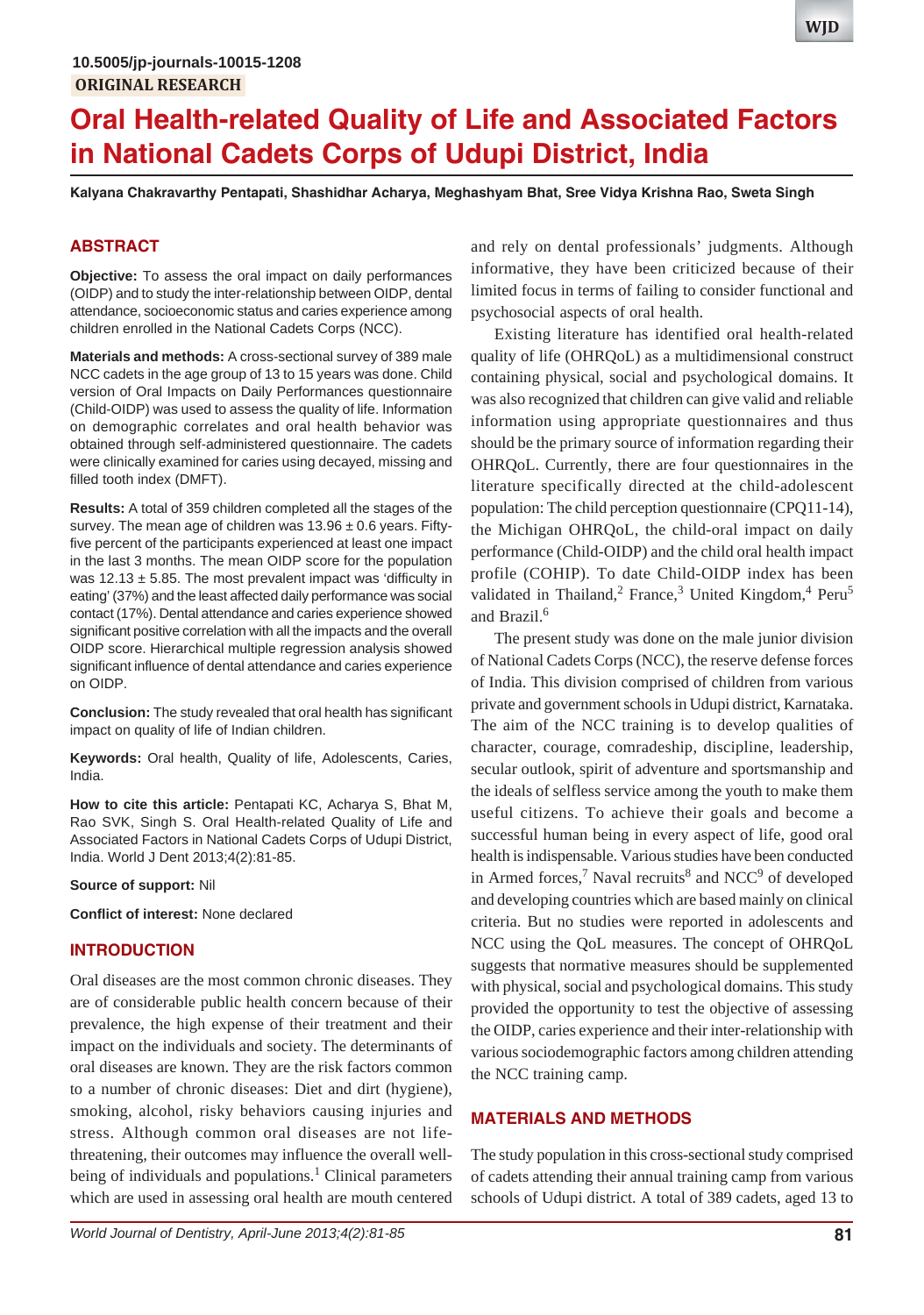# **Oral Health-related Quality of Life and Associated Factors in National Cadets Corps of Udupi District, India**

**Kalyana Chakravarthy Pentapati, Shashidhar Acharya, Meghashyam Bhat, Sree Vidya Krishna Rao, Sweta Singh**

## **ABSTRACT**

**Objective:** To assess the oral impact on daily performances (OIDP) and to study the inter-relationship between OIDP, dental attendance, socioeconomic status and caries experience among children enrolled in the National Cadets Corps (NCC).

**Materials and methods:** A cross-sectional survey of 389 male NCC cadets in the age group of 13 to 15 years was done. Child version of Oral Impacts on Daily Performances questionnaire (Child-OIDP) was used to assess the quality of life. Information on demographic correlates and oral health behavior was obtained through self-administered questionnaire. The cadets were clinically examined for caries using decayed, missing and filled tooth index (DMFT).

**Results:** A total of 359 children completed all the stages of the survey. The mean age of children was  $13.96 \pm 0.6$  years. Fiftyfive percent of the participants experienced at least one impact in the last 3 months. The mean OIDP score for the population was  $12.13 \pm 5.85$ . The most prevalent impact was 'difficulty in eating' (37%) and the least affected daily performance was social contact (17%). Dental attendance and caries experience showed significant positive correlation with all the impacts and the overall OIDP score. Hierarchical multiple regression analysis showed significant influence of dental attendance and caries experience on OIDP.

**Conclusion:** The study revealed that oral health has significant impact on quality of life of Indian children.

**Keywords:** Oral health, Quality of life, Adolescents, Caries, India.

**How to cite this article:** Pentapati KC, Acharya S, Bhat M, Rao SVK, Singh S. Oral Health-related Quality of Life and Associated Factors in National Cadets Corps of Udupi District, India. World J Dent 2013;4(2):81-85.

**Source of support:** Nil

**Conflict of interest:** None declared

## **INTRODUCTION**

Oral diseases are the most common chronic diseases. They are of considerable public health concern because of their prevalence, the high expense of their treatment and their impact on the individuals and society. The determinants of oral diseases are known. They are the risk factors common to a number of chronic diseases: Diet and dirt (hygiene), smoking, alcohol, risky behaviors causing injuries and stress. Although common oral diseases are not lifethreatening, their outcomes may influence the overall wellbeing of individuals and populations.<sup>1</sup> Clinical parameters which are used in assessing oral health are mouth centered

and rely on dental professionals' judgments. Although informative, they have been criticized because of their limited focus in terms of failing to consider functional and psychosocial aspects of oral health.

Existing literature has identified oral health-related quality of life (OHRQoL) as a multidimensional construct containing physical, social and psychological domains. It was also recognized that children can give valid and reliable information using appropriate questionnaires and thus should be the primary source of information regarding their OHRQoL. Currently, there are four questionnaires in the literature specifically directed at the child-adolescent population: The child perception questionnaire (CPQ11-14), the Michigan OHRQoL, the child-oral impact on daily performance (Child-OIDP) and the child oral health impact profile (COHIP). To date Child-OIDP index has been validated in Thailand,<sup>2</sup> France,<sup>3</sup> United Kingdom,<sup>4</sup> Peru<sup>5</sup> and Brazil.<sup>6</sup>

The present study was done on the male junior division of National Cadets Corps (NCC), the reserve defense forces of India. This division comprised of children from various private and government schools in Udupi district, Karnataka. The aim of the NCC training is to develop qualities of character, courage, comradeship, discipline, leadership, secular outlook, spirit of adventure and sportsmanship and the ideals of selfless service among the youth to make them useful citizens. To achieve their goals and become a successful human being in every aspect of life, good oral health is indispensable. Various studies have been conducted in Armed forces,<sup>7</sup> Naval recruits<sup>8</sup> and NCC<sup>9</sup> of developed and developing countries which are based mainly on clinical criteria. But no studies were reported in adolescents and NCC using the QoL measures. The concept of OHRQoL suggests that normative measures should be supplemented with physical, social and psychological domains. This study provided the opportunity to test the objective of assessing the OIDP, caries experience and their inter-relationship with various sociodemographic factors among children attending the NCC training camp.

## **MATERIALS AND METHODS**

The study population in this cross-sectional study comprised of cadets attending their annual training camp from various schools of Udupi district. A total of 389 cadets, aged 13 to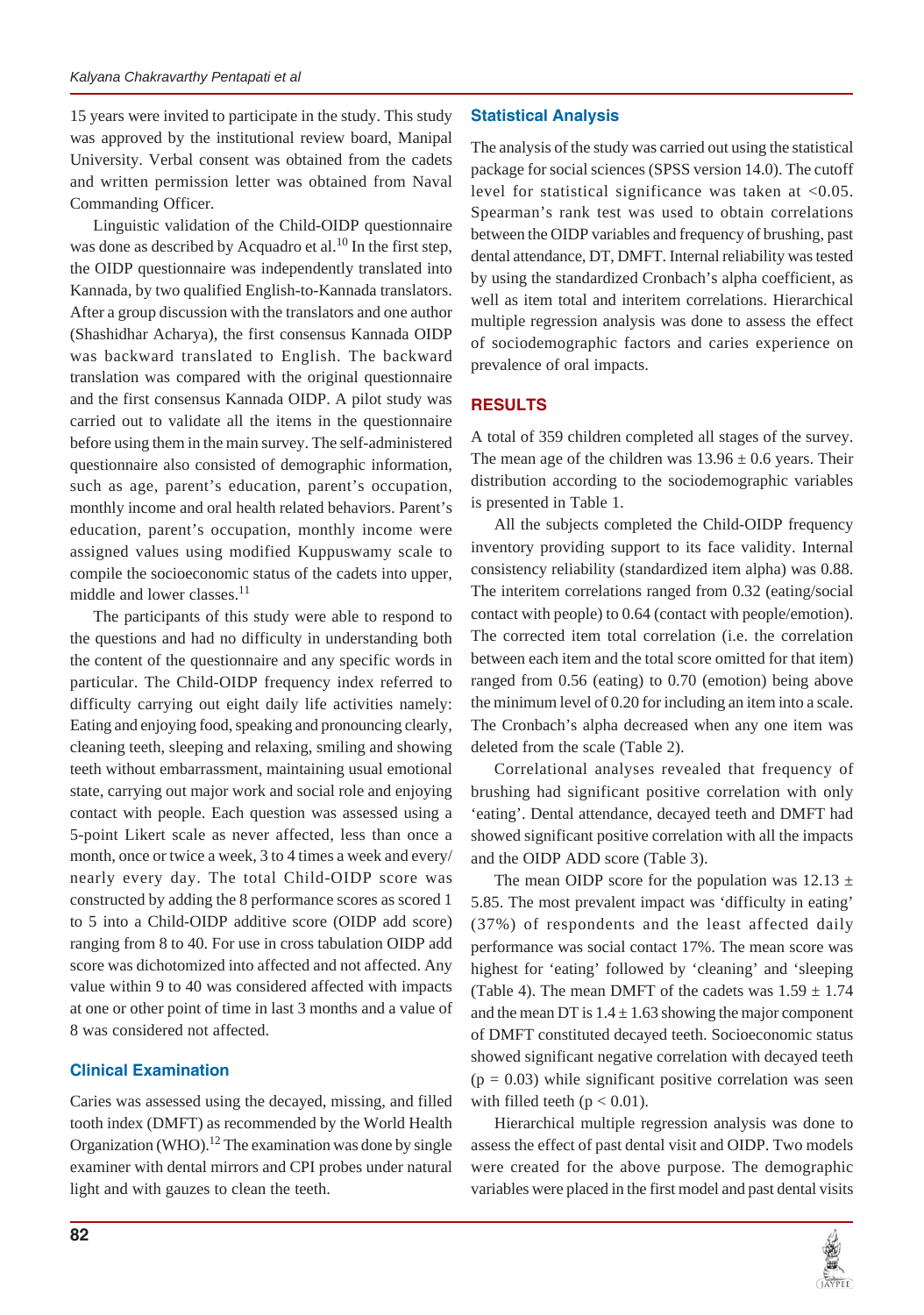15 years were invited to participate in the study. This study was approved by the institutional review board, Manipal University. Verbal consent was obtained from the cadets and written permission letter was obtained from Naval Commanding Officer.

Linguistic validation of the Child-OIDP questionnaire was done as described by Acquadro et al.<sup>10</sup> In the first step, the OIDP questionnaire was independently translated into Kannada, by two qualified English-to-Kannada translators. After a group discussion with the translators and one author (Shashidhar Acharya), the first consensus Kannada OIDP was backward translated to English. The backward translation was compared with the original questionnaire and the first consensus Kannada OIDP. A pilot study was carried out to validate all the items in the questionnaire before using them in the main survey. The self-administered questionnaire also consisted of demographic information, such as age, parent's education, parent's occupation, monthly income and oral health related behaviors. Parent's education, parent's occupation, monthly income were assigned values using modified Kuppuswamy scale to compile the socioeconomic status of the cadets into upper, middle and lower classes.<sup>11</sup>

The participants of this study were able to respond to the questions and had no difficulty in understanding both the content of the questionnaire and any specific words in particular. The Child-OIDP frequency index referred to difficulty carrying out eight daily life activities namely: Eating and enjoying food, speaking and pronouncing clearly, cleaning teeth, sleeping and relaxing, smiling and showing teeth without embarrassment, maintaining usual emotional state, carrying out major work and social role and enjoying contact with people. Each question was assessed using a 5-point Likert scale as never affected, less than once a month, once or twice a week, 3 to 4 times a week and every/ nearly every day. The total Child-OIDP score was constructed by adding the 8 performance scores as scored 1 to 5 into a Child-OIDP additive score (OIDP add score) ranging from 8 to 40. For use in cross tabulation OIDP add score was dichotomized into affected and not affected. Any value within 9 to 40 was considered affected with impacts at one or other point of time in last 3 months and a value of 8 was considered not affected.

## **Clinical Examination**

Caries was assessed using the decayed, missing, and filled tooth index (DMFT) as recommended by the World Health Organization (WHO).<sup>12</sup> The examination was done by single examiner with dental mirrors and CPI probes under natural light and with gauzes to clean the teeth.

# **Statistical Analysis**

The analysis of the study was carried out using the statistical package for social sciences (SPSS version 14.0). The cutoff level for statistical significance was taken at <0.05. Spearman's rank test was used to obtain correlations between the OIDP variables and frequency of brushing, past dental attendance, DT, DMFT. Internal reliability was tested by using the standardized Cronbach's alpha coefficient, as well as item total and interitem correlations. Hierarchical multiple regression analysis was done to assess the effect of sociodemographic factors and caries experience on prevalence of oral impacts.

# **RESULTS**

A total of 359 children completed all stages of the survey. The mean age of the children was  $13.96 \pm 0.6$  years. Their distribution according to the sociodemographic variables is presented in Table 1.

All the subjects completed the Child-OIDP frequency inventory providing support to its face validity. Internal consistency reliability (standardized item alpha) was 0.88. The interitem correlations ranged from 0.32 (eating/social contact with people) to 0.64 (contact with people/emotion). The corrected item total correlation (i.e. the correlation between each item and the total score omitted for that item) ranged from 0.56 (eating) to 0.70 (emotion) being above the minimum level of 0.20 for including an item into a scale. The Cronbach's alpha decreased when any one item was deleted from the scale (Table 2).

Correlational analyses revealed that frequency of brushing had significant positive correlation with only 'eating'. Dental attendance, decayed teeth and DMFT had showed significant positive correlation with all the impacts and the OIDP ADD score (Table 3).

The mean OIDP score for the population was  $12.13 \pm$ 5.85. The most prevalent impact was 'difficulty in eating' (37%) of respondents and the least affected daily performance was social contact 17%. The mean score was highest for 'eating' followed by 'cleaning' and 'sleeping (Table 4). The mean DMFT of the cadets was  $1.59 \pm 1.74$ and the mean DT is  $1.4 \pm 1.63$  showing the major component of DMFT constituted decayed teeth. Socioeconomic status showed significant negative correlation with decayed teeth  $(p = 0.03)$  while significant positive correlation was seen with filled teeth ( $p < 0.01$ ).

Hierarchical multiple regression analysis was done to assess the effect of past dental visit and OIDP. Two models were created for the above purpose. The demographic variables were placed in the first model and past dental visits

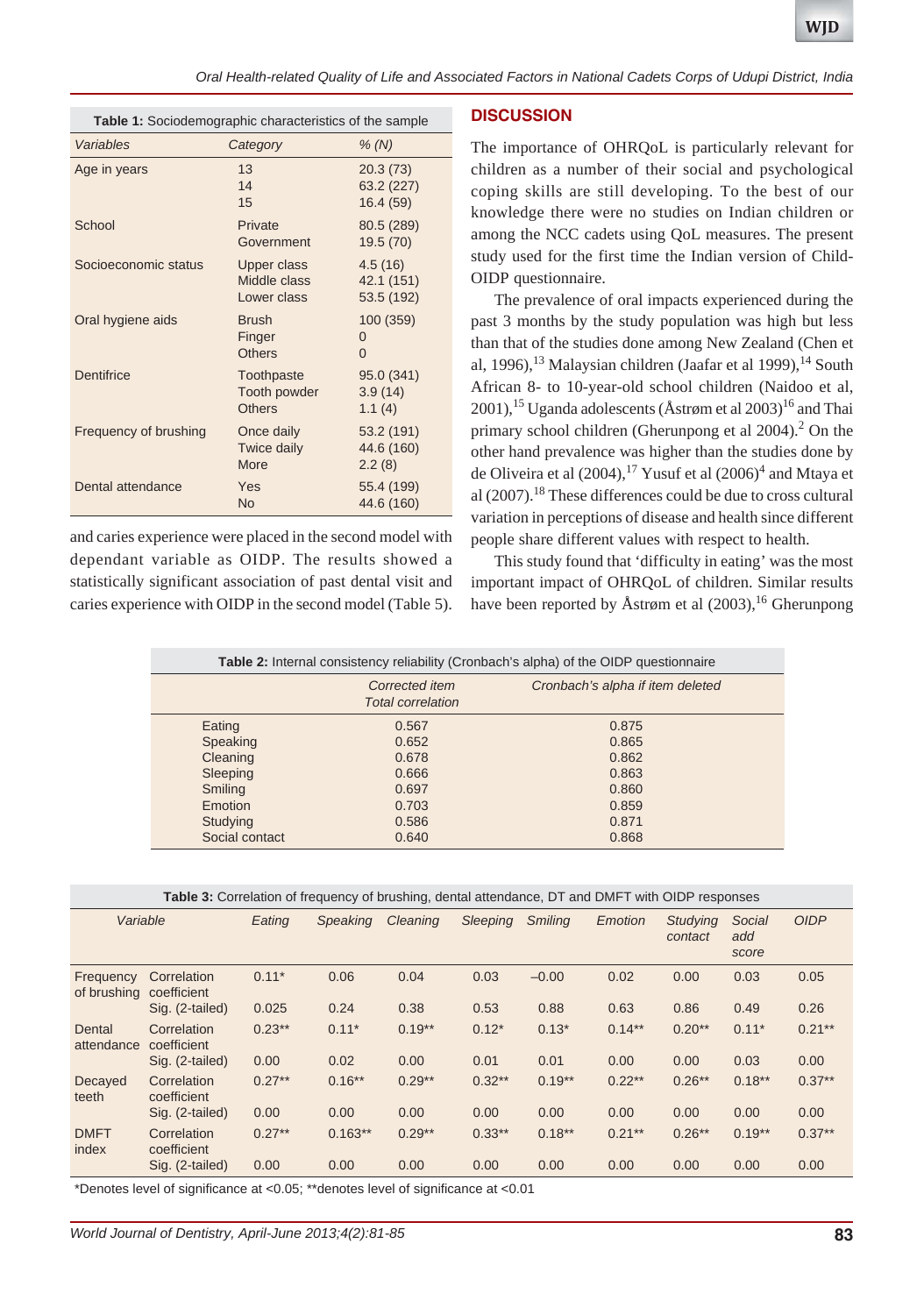*Oral Health-related Quality of Life and Associated Factors in National Cadets Corps of Udupi District, India*

| Table 1: Sociodemographic characteristics of the sample |                                             |                                     |  |  |  |
|---------------------------------------------------------|---------------------------------------------|-------------------------------------|--|--|--|
| Variables                                               | Category                                    | % (N)                               |  |  |  |
| Age in years                                            | 13<br>14<br>15                              | 20.3(73)<br>63.2 (227)<br>16.4 (59) |  |  |  |
| School                                                  | Private<br>Government                       | 80.5 (289)<br>19.5 (70)             |  |  |  |
| Socioeconomic status                                    | Upper class<br>Middle class<br>Lower class  | 4.5(16)<br>42.1 (151)<br>53.5 (192) |  |  |  |
| Oral hygiene aids                                       | <b>Brush</b><br>Finger<br><b>Others</b>     | 100 (359)<br>0<br>$\Omega$          |  |  |  |
| Dentifrice                                              | Toothpaste<br>Tooth powder<br><b>Others</b> | 95.0 (341)<br>3.9(14)<br>1.1(4)     |  |  |  |
| Frequency of brushing                                   | Once daily<br>Twice daily<br>More           | 53.2 (191)<br>44.6 (160)<br>2.2(8)  |  |  |  |
| Dental attendance                                       | Yes<br><b>No</b>                            | 55.4 (199)<br>44.6 (160)            |  |  |  |

and caries experience were placed in the second model with dependant variable as OIDP. The results showed a statistically significant association of past dental visit and caries experience with OIDP in the second model (Table 5).

## **DISCUSSION**

The importance of OHRQoL is particularly relevant for children as a number of their social and psychological coping skills are still developing. To the best of our knowledge there were no studies on Indian children or among the NCC cadets using QoL measures. The present study used for the first time the Indian version of Child-OIDP questionnaire.

The prevalence of oral impacts experienced during the past 3 months by the study population was high but less than that of the studies done among New Zealand (Chen et al, 1996), $^{13}$  Malaysian children (Jaafar et al 1999), $^{14}$  South African 8- to 10-year-old school children (Naidoo et al, 2001),<sup>15</sup> Uganda adolescents ( $\AA$ strøm et al 2003)<sup>16</sup> and Thai primary school children (Gherunpong et al  $2004$ ).<sup>2</sup> On the other hand prevalence was higher than the studies done by de Oliveira et al  $(2004)$ ,<sup>17</sup> Yusuf et al  $(2006)^4$  and Mtaya et al  $(2007)$ .<sup>18</sup> These differences could be due to cross cultural variation in perceptions of disease and health since different people share different values with respect to health.

This study found that 'difficulty in eating' was the most important impact of OHRQoL of children. Similar results have been reported by Åstrøm et al  $(2003)$ ,<sup>16</sup> Gherunpong

| <b>Table 2:</b> Internal consistency reliability (Cronbach's alpha) of the OIDP questionnaire |                                            |                                  |  |  |  |  |
|-----------------------------------------------------------------------------------------------|--------------------------------------------|----------------------------------|--|--|--|--|
|                                                                                               | Corrected item<br><b>Total correlation</b> | Cronbach's alpha if item deleted |  |  |  |  |
| Eating                                                                                        | 0.567                                      | 0.875                            |  |  |  |  |
| Speaking                                                                                      | 0.652                                      | 0.865                            |  |  |  |  |
| Cleaning                                                                                      | 0.678                                      | 0.862                            |  |  |  |  |
| Sleeping                                                                                      | 0.666                                      | 0.863                            |  |  |  |  |
| Smiling                                                                                       | 0.697                                      | 0.860                            |  |  |  |  |
| <b>Emotion</b>                                                                                | 0.703                                      | 0.859                            |  |  |  |  |
| Studying                                                                                      | 0.586                                      | 0.871                            |  |  |  |  |
| Social contact                                                                                | 0.640                                      | 0.868                            |  |  |  |  |

| Variable                 |                            | Eating   | <b>Speaking</b> | Cleaning | <b>Sleeping</b> | <b>Smiling</b> | Emotion   | <b>Studying</b><br>contact | Social<br>add<br>score | <b>OIDP</b> |
|--------------------------|----------------------------|----------|-----------------|----------|-----------------|----------------|-----------|----------------------------|------------------------|-------------|
| Frequency<br>of brushing | Correlation<br>coefficient | $0.11*$  | 0.06            | 0.04     | 0.03            | $-0.00$        | 0.02      | 0.00                       | 0.03                   | 0.05        |
|                          | Sig. (2-tailed)            | 0.025    | 0.24            | 0.38     | 0.53            | 0.88           | 0.63      | 0.86                       | 0.49                   | 0.26        |
| Dental<br>attendance     | Correlation<br>coefficient | $0.23**$ | $0.11*$         | $0.19**$ | $0.12*$         | $0.13*$        | $0.14***$ | $0.20**$                   | $0.11*$                | $0.21***$   |
|                          | Sig. (2-tailed)            | 0.00     | 0.02            | 0.00     | 0.01            | 0.01           | 0.00      | 0.00                       | 0.03                   | 0.00        |
| Decayed<br>teeth         | Correlation<br>coefficient | $0.27**$ | $0.16***$       | $0.29**$ | $0.32**$        | $0.19**$       | $0.22***$ | $0.26**$                   | $0.18***$              | $0.37**$    |
|                          | Sig. (2-tailed)            | 0.00     | 0.00            | 0.00     | 0.00            | 0.00           | 0.00      | 0.00                       | 0.00                   | 0.00        |
| <b>DMFT</b><br>index     | Correlation<br>coefficient | $0.27**$ | $0.163**$       | $0.29**$ | $0.33***$       | $0.18***$      | $0.21***$ | $0.26**$                   | $0.19**$               | $0.37**$    |
|                          | Sig. (2-tailed)            | 0.00     | 0.00            | 0.00     | 0.00            | 0.00           | 0.00      | 0.00                       | 0.00                   | 0.00        |

\*Denotes level of significance at <0.05; \*\*denotes level of significance at <0.01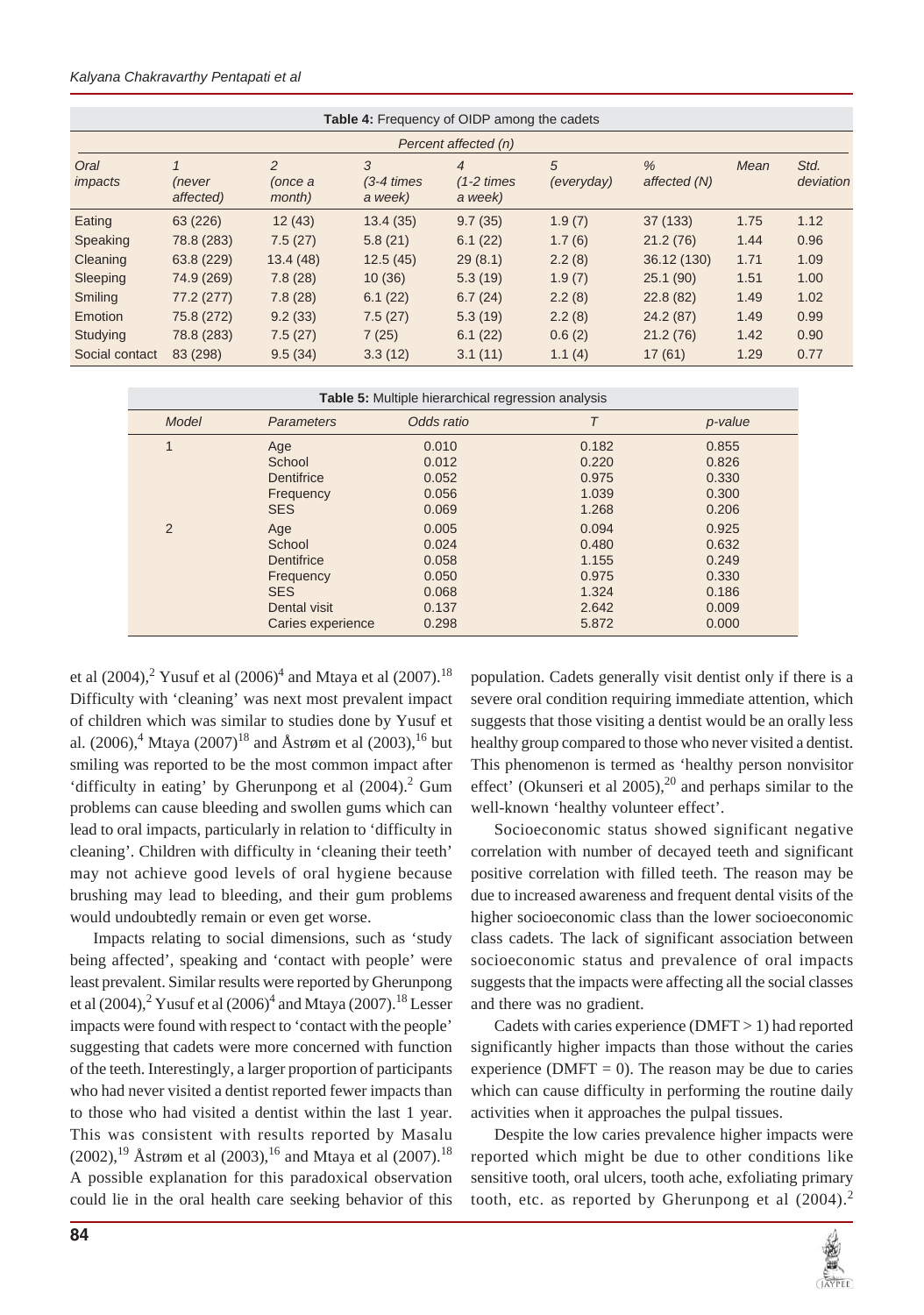#### *Kalyana Chakravarthy Pentapati et al*

| <b>Table 4:</b> Frequency of OIDP among the cadets |                     |                                     |                                  |                                               |                 |                               |      |                   |
|----------------------------------------------------|---------------------|-------------------------------------|----------------------------------|-----------------------------------------------|-----------------|-------------------------------|------|-------------------|
| Percent affected (n)                               |                     |                                     |                                  |                                               |                 |                               |      |                   |
| Oral<br>impacts                                    | (never<br>affected) | $\overline{2}$<br>(once a<br>month) | 3<br>$(3-4 \times s)$<br>a week) | $\overline{4}$<br>$(1-2 \times 1)$<br>a week) | 5<br>(everyday) | $\frac{9}{6}$<br>affected (N) | Mean | Std.<br>deviation |
| Eating                                             | 63 (226)            | 12(43)                              | 13.4(35)                         | 9.7(35)                                       | 1.9(7)          | 37 (133)                      | 1.75 | 1.12              |
| Speaking                                           | 78.8 (283)          | 7.5(27)                             | 5.8(21)                          | 6.1(22)                                       | 1.7(6)          | 21.2(76)                      | 1.44 | 0.96              |
| Cleaning                                           | 63.8 (229)          | 13.4(48)                            | 12.5(45)                         | 29(8.1)                                       | 2.2(8)          | 36.12 (130)                   | 1.71 | 1.09              |
| Sleeping                                           | 74.9 (269)          | 7.8(28)                             | 10(36)                           | 5.3(19)                                       | 1.9(7)          | 25.1(90)                      | 1.51 | 1.00              |
| Smiling                                            | 77.2 (277)          | 7.8(28)                             | 6.1(22)                          | 6.7(24)                                       | 2.2(8)          | 22.8(82)                      | 1.49 | 1.02              |
| Emotion                                            | 75.8 (272)          | 9.2(33)                             | 7.5(27)                          | 5.3(19)                                       | 2.2(8)          | 24.2(87)                      | 1.49 | 0.99              |
| Studying                                           | 78.8 (283)          | 7.5(27)                             | 7(25)                            | 6.1(22)                                       | 0.6(2)          | 21.2(76)                      | 1.42 | 0.90              |
| Social contact                                     | 83 (298)            | 9.5(34)                             | 3.3(12)                          | 3.1(11)                                       | 1.1(4)          | 17(61)                        | 1.29 | 0.77              |

| <b>Table 5:</b> Multiple hierarchical regression analysis |                   |            |       |         |  |  |  |
|-----------------------------------------------------------|-------------------|------------|-------|---------|--|--|--|
| Model                                                     | <b>Parameters</b> | Odds ratio | Τ     | p-value |  |  |  |
|                                                           | Age               | 0.010      | 0.182 | 0.855   |  |  |  |
|                                                           | School            | 0.012      | 0.220 | 0.826   |  |  |  |
|                                                           | <b>Dentifrice</b> | 0.052      | 0.975 | 0.330   |  |  |  |
|                                                           | Frequency         | 0.056      | 1.039 | 0.300   |  |  |  |
|                                                           | <b>SES</b>        | 0.069      | 1.268 | 0.206   |  |  |  |
| 2                                                         | Age               | 0.005      | 0.094 | 0.925   |  |  |  |
|                                                           | School            | 0.024      | 0.480 | 0.632   |  |  |  |
|                                                           | Dentifrice        | 0.058      | 1.155 | 0.249   |  |  |  |
|                                                           | Frequency         | 0.050      | 0.975 | 0.330   |  |  |  |
|                                                           | <b>SES</b>        | 0.068      | 1.324 | 0.186   |  |  |  |
|                                                           | Dental visit      | 0.137      | 2.642 | 0.009   |  |  |  |
|                                                           | Caries experience | 0.298      | 5.872 | 0.000   |  |  |  |

et al (2004), $^{2}$  Yusuf et al (2006) $^{4}$  and Mtaya et al (2007).<sup>18</sup> Difficulty with 'cleaning' was next most prevalent impact of children which was similar to studies done by Yusuf et al. (2006),<sup>4</sup> Mtaya (2007)<sup>18</sup> and Åstrøm et al (2003),<sup>16</sup> but smiling was reported to be the most common impact after 'difficulty in eating' by Gherunpong et al  $(2004)$ .<sup>2</sup> Gum problems can cause bleeding and swollen gums which can lead to oral impacts, particularly in relation to 'difficulty in cleaning'. Children with difficulty in 'cleaning their teeth' may not achieve good levels of oral hygiene because brushing may lead to bleeding, and their gum problems would undoubtedly remain or even get worse.

Impacts relating to social dimensions, such as 'study being affected', speaking and 'contact with people' were least prevalent. Similar results were reported by Gherunpong et al  $(2004)$ ,  $^{2}$  Yusuf et al  $(2006)$ <sup>4</sup> and Mtaya  $(2007)$ . <sup>18</sup> Lesser impacts were found with respect to 'contact with the people' suggesting that cadets were more concerned with function of the teeth. Interestingly, a larger proportion of participants who had never visited a dentist reported fewer impacts than to those who had visited a dentist within the last 1 year. This was consistent with results reported by Masalu  $(2002)$ ,<sup>19</sup> Åstrøm et al  $(2003)$ ,<sup>16</sup> and Mtaya et al  $(2007)$ .<sup>18</sup> A possible explanation for this paradoxical observation could lie in the oral health care seeking behavior of this

population. Cadets generally visit dentist only if there is a severe oral condition requiring immediate attention, which suggests that those visiting a dentist would be an orally less healthy group compared to those who never visited a dentist. This phenomenon is termed as 'healthy person nonvisitor effect' (Okunseri et al  $2005$ ),<sup>20</sup> and perhaps similar to the well-known 'healthy volunteer effect'.

Socioeconomic status showed significant negative correlation with number of decayed teeth and significant positive correlation with filled teeth. The reason may be due to increased awareness and frequent dental visits of the higher socioeconomic class than the lower socioeconomic class cadets. The lack of significant association between socioeconomic status and prevalence of oral impacts suggests that the impacts were affecting all the social classes and there was no gradient.

Cadets with caries experience  $(DMFT > 1)$  had reported significantly higher impacts than those without the caries experience ( $DMFT = 0$ ). The reason may be due to caries which can cause difficulty in performing the routine daily activities when it approaches the pulpal tissues.

Despite the low caries prevalence higher impacts were reported which might be due to other conditions like sensitive tooth, oral ulcers, tooth ache, exfoliating primary tooth, etc. as reported by Gherunpong et al  $(2004)$ .<sup>2</sup>